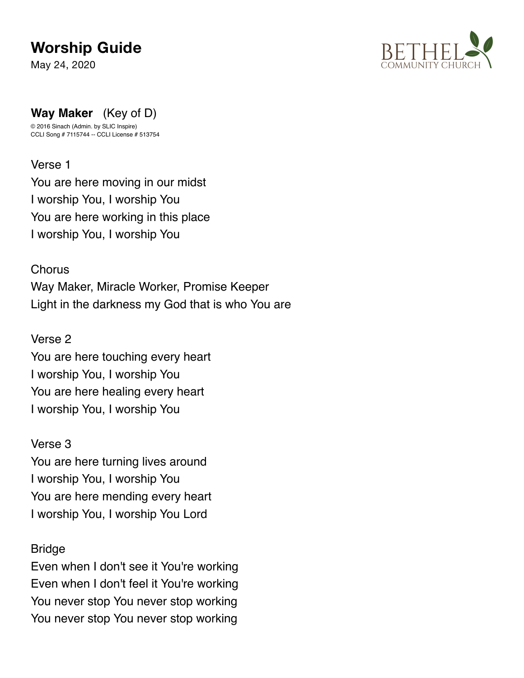May 24, 2020



#### **Way Maker** (Key of D)

© 2016 Sinach (Admin. by SLIC Inspire) CCLI Song # 7115744 -- CCLI License # 513754

Verse 1 You are here moving in our midst I worship You, I worship You You are here working in this place I worship You, I worship You

**Chorus** Way Maker, Miracle Worker, Promise Keeper Light in the darkness my God that is who You are

Verse 2 You are here touching every heart I worship You, I worship You You are here healing every heart I worship You, I worship You

Verse 3 You are here turning lives around I worship You, I worship You You are here mending every heart I worship You, I worship You Lord

#### Bridge

Even when I don't see it You're working Even when I don't feel it You're working You never stop You never stop working You never stop You never stop working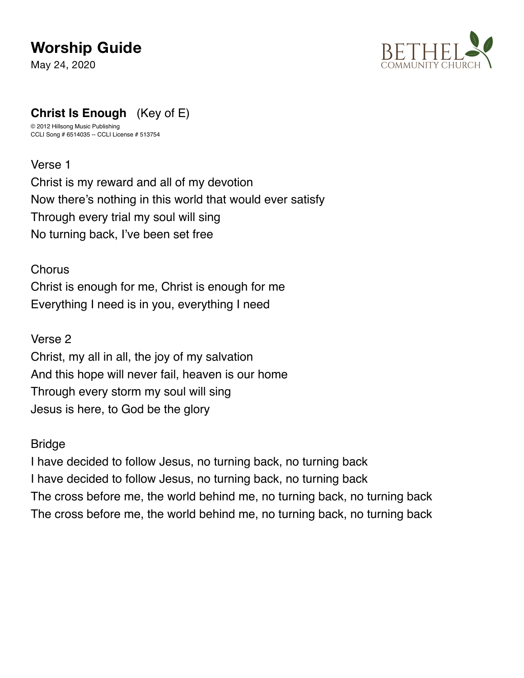May 24, 2020



# **Christ Is Enough** (Key of E)

© 2012 Hillsong Music Publishing CCLI Song # 6514035 -- CCLI License # 513754

Verse 1 Christ is my reward and all of my devotion Now there's nothing in this world that would ever satisfy Through every trial my soul will sing No turning back, I've been set free

**Chorus** Christ is enough for me, Christ is enough for me Everything I need is in you, everything I need

#### Verse 2

Christ, my all in all, the joy of my salvation And this hope will never fail, heaven is our home Through every storm my soul will sing Jesus is here, to God be the glory

#### **Bridge**

I have decided to follow Jesus, no turning back, no turning back I have decided to follow Jesus, no turning back, no turning back The cross before me, the world behind me, no turning back, no turning back The cross before me, the world behind me, no turning back, no turning back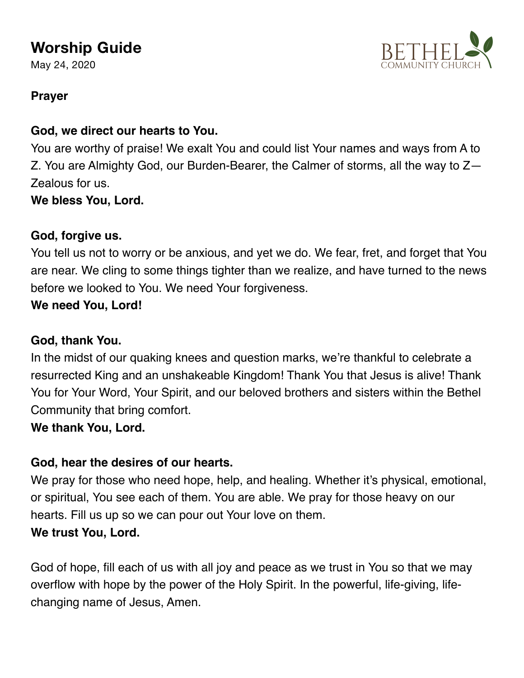May 24, 2020

## **Prayer**

## **God, we direct our hearts to You.**

You are worthy of praise! We exalt You and could list Your names and ways from A to Z. You are Almighty God, our Burden-Bearer, the Calmer of storms, all the way to Z— Zealous for us.

**We bless You, Lord.** 

## **God, forgive us.**

You tell us not to worry or be anxious, and yet we do. We fear, fret, and forget that You are near. We cling to some things tighter than we realize, and have turned to the news before we looked to You. We need Your forgiveness.

**We need You, Lord!** 

## **God, thank You.**

In the midst of our quaking knees and question marks, we're thankful to celebrate a resurrected King and an unshakeable Kingdom! Thank You that Jesus is alive! Thank You for Your Word, Your Spirit, and our beloved brothers and sisters within the Bethel Community that bring comfort.

**We thank You, Lord.** 

# **God, hear the desires of our hearts.**

We pray for those who need hope, help, and healing. Whether it's physical, emotional, or spiritual, You see each of them. You are able. We pray for those heavy on our hearts. Fill us up so we can pour out Your love on them.

## **We trust You, Lord.**

God of hope, fill each of us with all joy and peace as we trust in You so that we may overflow with hope by the power of the Holy Spirit. In the powerful, life-giving, lifechanging name of Jesus, Amen.

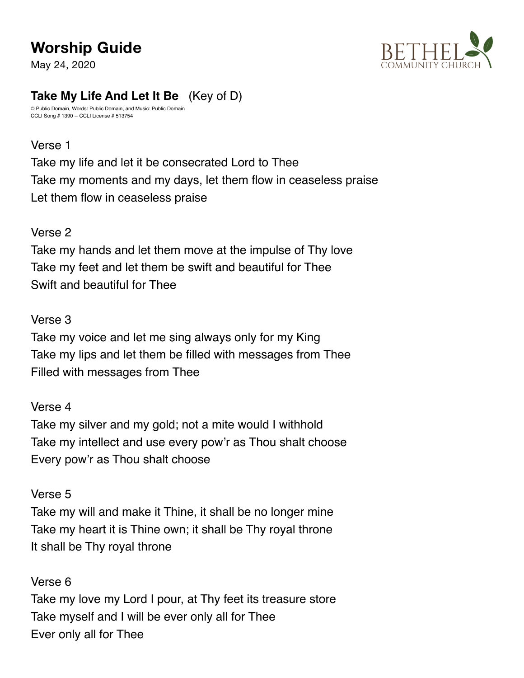May 24, 2020



# **Take My Life And Let It Be** (Key of D)

© Public Domain, Words: Public Domain, and Music: Public Domain CCLI Song # 1390 -- CCLI License # 513754

# Verse 1

Take my life and let it be consecrated Lord to Thee Take my moments and my days, let them flow in ceaseless praise Let them flow in ceaseless praise

## Verse 2

Take my hands and let them move at the impulse of Thy love Take my feet and let them be swift and beautiful for Thee Swift and beautiful for Thee

## Verse 3

Take my voice and let me sing always only for my King Take my lips and let them be filled with messages from Thee Filled with messages from Thee

## Verse 4

Take my silver and my gold; not a mite would I withhold Take my intellect and use every pow'r as Thou shalt choose Every pow'r as Thou shalt choose

## Verse 5

Take my will and make it Thine, it shall be no longer mine Take my heart it is Thine own; it shall be Thy royal throne It shall be Thy royal throne

# Verse 6

Take my love my Lord I pour, at Thy feet its treasure store Take myself and I will be ever only all for Thee Ever only all for Thee